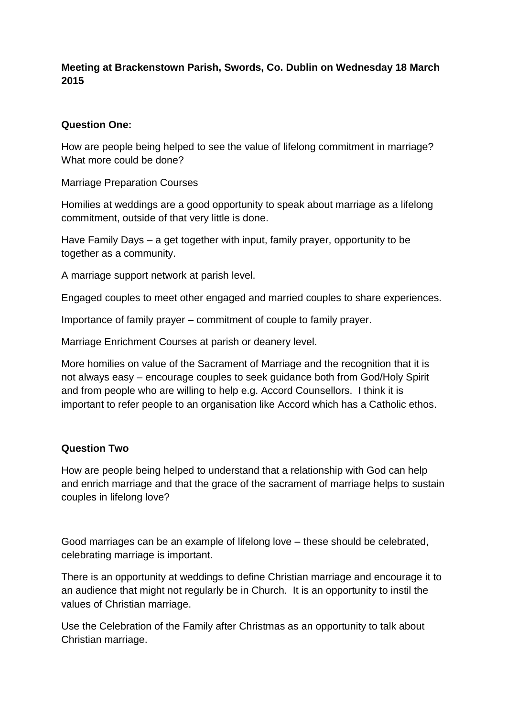# **Meeting at Brackenstown Parish, Swords, Co. Dublin on Wednesday 18 March 2015**

### **Question One:**

How are people being helped to see the value of lifelong commitment in marriage? What more could be done?

Marriage Preparation Courses

Homilies at weddings are a good opportunity to speak about marriage as a lifelong commitment, outside of that very little is done.

Have Family Days – a get together with input, family prayer, opportunity to be together as a community.

A marriage support network at parish level.

Engaged couples to meet other engaged and married couples to share experiences.

Importance of family prayer – commitment of couple to family prayer.

Marriage Enrichment Courses at parish or deanery level.

More homilies on value of the Sacrament of Marriage and the recognition that it is not always easy – encourage couples to seek guidance both from God/Holy Spirit and from people who are willing to help e.g. Accord Counsellors. I think it is important to refer people to an organisation like Accord which has a Catholic ethos.

### **Question Two**

How are people being helped to understand that a relationship with God can help and enrich marriage and that the grace of the sacrament of marriage helps to sustain couples in lifelong love?

Good marriages can be an example of lifelong love – these should be celebrated, celebrating marriage is important.

There is an opportunity at weddings to define Christian marriage and encourage it to an audience that might not regularly be in Church. It is an opportunity to instil the values of Christian marriage.

Use the Celebration of the Family after Christmas as an opportunity to talk about Christian marriage.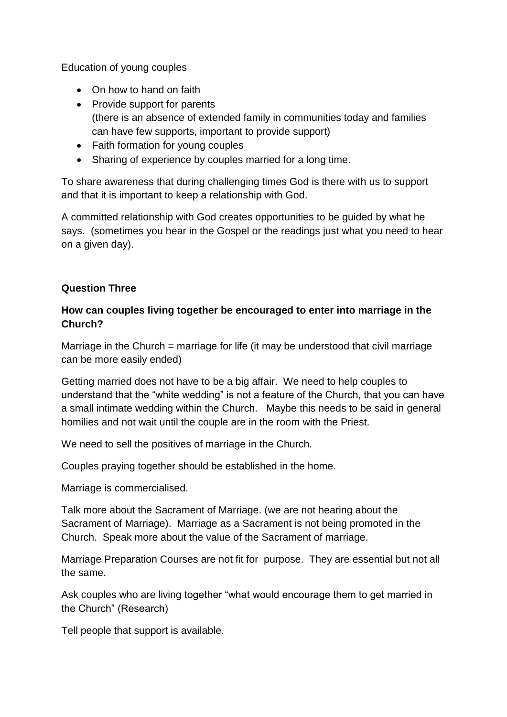Education of young couples

- On how to hand on faith
- Provide support for parents (there is an absence of extended family in communities today and families can have few supports, important to provide support)
- Faith formation for young couples
- Sharing of experience by couples married for a long time.

To share awareness that during challenging times God is there with us to support and that it is important to keep a relationship with God.

A committed relationship with God creates opportunities to be guided by what he says. (sometimes you hear in the Gospel or the readings just what you need to hear on a given day).

# **Question Three**

### **How can couples living together be encouraged to enter into marriage in the Church?**

Marriage in the Church = marriage for life (it may be understood that civil marriage can be more easily ended)

Getting married does not have to be a big affair. We need to help couples to understand that the "white wedding" is not a feature of the Church, that you can have a small intimate wedding within the Church. Maybe this needs to be said in general homilies and not wait until the couple are in the room with the Priest.

We need to sell the positives of marriage in the Church.

Couples praying together should be established in the home.

Marriage is commercialised.

Talk more about the Sacrament of Marriage. (we are not hearing about the Sacrament of Marriage). Marriage as a Sacrament is not being promoted in the Church. Speak more about the value of the Sacrament of marriage.

Marriage Preparation Courses are not fit for purpose. They are essential but not all the same.

Ask couples who are living together "what would encourage them to get married in the Church" (Research)

Tell people that support is available.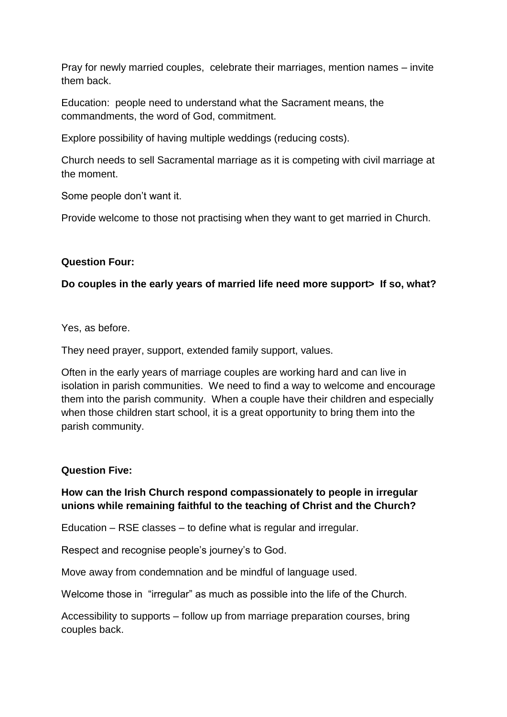Pray for newly married couples, celebrate their marriages, mention names – invite them back.

Education: people need to understand what the Sacrament means, the commandments, the word of God, commitment.

Explore possibility of having multiple weddings (reducing costs).

Church needs to sell Sacramental marriage as it is competing with civil marriage at the moment.

Some people don't want it.

Provide welcome to those not practising when they want to get married in Church.

# **Question Four:**

# **Do couples in the early years of married life need more support> If so, what?**

Yes, as before.

They need prayer, support, extended family support, values.

Often in the early years of marriage couples are working hard and can live in isolation in parish communities. We need to find a way to welcome and encourage them into the parish community. When a couple have their children and especially when those children start school, it is a great opportunity to bring them into the parish community.

### **Question Five:**

# **How can the Irish Church respond compassionately to people in irregular unions while remaining faithful to the teaching of Christ and the Church?**

Education – RSE classes – to define what is regular and irregular.

Respect and recognise people's journey's to God.

Move away from condemnation and be mindful of language used.

Welcome those in "irregular" as much as possible into the life of the Church.

Accessibility to supports – follow up from marriage preparation courses, bring couples back.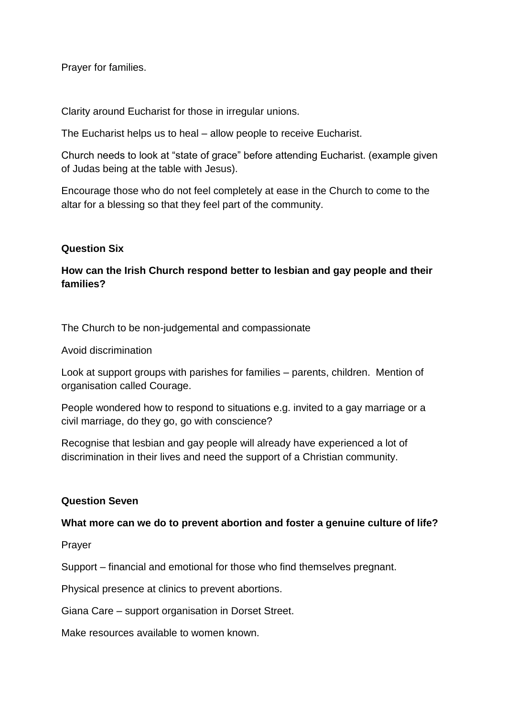Prayer for families.

Clarity around Eucharist for those in irregular unions.

The Eucharist helps us to heal – allow people to receive Eucharist.

Church needs to look at "state of grace" before attending Eucharist. (example given of Judas being at the table with Jesus).

Encourage those who do not feel completely at ease in the Church to come to the altar for a blessing so that they feel part of the community.

#### **Question Six**

# **How can the Irish Church respond better to lesbian and gay people and their families?**

The Church to be non-judgemental and compassionate

Avoid discrimination

Look at support groups with parishes for families – parents, children. Mention of organisation called Courage.

People wondered how to respond to situations e.g. invited to a gay marriage or a civil marriage, do they go, go with conscience?

Recognise that lesbian and gay people will already have experienced a lot of discrimination in their lives and need the support of a Christian community.

#### **Question Seven**

#### **What more can we do to prevent abortion and foster a genuine culture of life?**

Prayer

Support – financial and emotional for those who find themselves pregnant.

Physical presence at clinics to prevent abortions.

Giana Care – support organisation in Dorset Street.

Make resources available to women known.